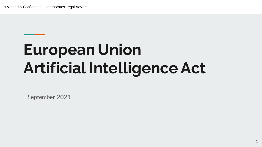Privileged & Confidential; Incorporates Legal Advice

# **European Union Artificial Intelligence Act**

September 2021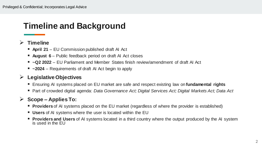# **Timeline and Background**

#### **Timeline**

- **April 21**  EU Commission published draft AI Act
- **August 6**  Public feedback period on draft AI Act closes
- **~Q2 2022**  EU Parliament and Member States finish review/amendment of draft AI Act
- **~2024**  Requirements of draft AI Act begin to apply

#### **Legislative Objectives**

- Ensuring AI systems placed on EU market are safe and respect existing law on **fundamental rights**
- Part of crowded digital agenda: *Data Governance Act; Digital Services Act; Digital Markets Act; Data Act*

#### **Scope – Applies To:**

- **Providers** of AI systems placed on the EU market (regardless of where the provider is established)
- **Users** of AI systems where the user is located within the EU
- **Providers and Users** of AI systems located in a third country where the output produced by the AI system is used in the EU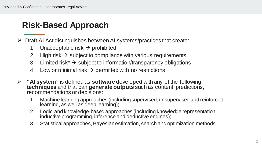# **Risk-Based Approach**

 $\triangleright$  Draft AI Act distinguishes between AI systems/practices that create:

- 1. Unacceptable risk  $\rightarrow$  prohibited
- 2. High risk  $\rightarrow$  subject to compliance with various requirements
- 3. Limited risk<sup>\*</sup>  $\rightarrow$  subject to information/transparency obligations
- 4. Low or minimal risk  $\rightarrow$  permitted with no restrictions
- **"AI system"** is defined as **software** developed with any of the following **techniques** and that can **generate outputs** such as content, predictions, recommendations or decisions:
	- 1. Machine learning approaches (including supervised, unsupervised and reinforced learning, as well as deep learning);
	- 2. Logic-and knowledge-based approaches (including knowledge representation, inductive programming, inference and deductive engines);
	- 3. Statistical approaches, Bayesian estimation, search and optimization methods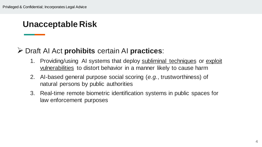# **Unacceptable Risk**

### Draft AI Act **prohibits** certain AI **practices**:

- 1. Providing/using AI systems that deploy subliminal techniques or exploit vulnerabilities to distort behavior in a manner likely to cause harm
- 2. AI-based general purpose social scoring (*e.g.*, trustworthiness) of natural persons by public authorities
- 3. Real-time remote biometric identification systems in public spaces for law enforcement purposes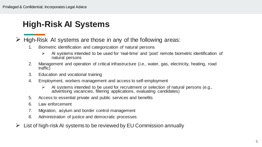# **High-Risk AI Systems**

High-Risk AI systems are those in any of the following areas:

- 1. Biometric identification and categorization of natural persons
	- $\triangleright$  AI systems intended to be used for 'real-time' and 'post' remote biometric identification of natural persons
- 2. Management and operation of critical infrastructure (*i.e.*, water, gas, electricity, heating, road traffic)
- 3. Education and vocational training
- 4. Employment, workers management and access to self-employment
	- $\triangleright$  AI systems intended to be used for recruitment or selection of natural persons (e.g., advertising vacancies, filtering applications, evaluating candidates)
- 5. Access to essential private and public services and benefits
- 6. Law enforcement
- 7. Migration, asylum and border control management
- 8. Administration of justice and democratic processes

 $\triangleright$  List of high-risk AI systems to be reviewed by EU Commission annually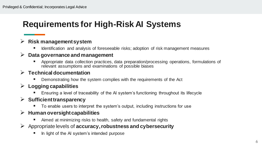# **Requirements for High-Risk AI Systems**

#### **Risk management system**

■ Identification and analysis of foreseeable risks; adoption of risk management measures

#### **Data governance and management**

 Appropriate data collection practices, data preparation/processing operations, formulations of relevant assumptions and examinations of possible biases

#### **Technical documentation**

**• Demonstrating how the system complies with the requirements of the Act** 

#### **Logging capabilities**

Ensuring a level of traceability of the AI system's functioning throughout its lifecycle

#### **Sufficient transparency**

■ To enable users to interpret the system's output, including instructions for use

#### **Human oversight capabilities**

- Aimed at minimizing risks to health, safety and fundamental rights
- Appropriate levels of **accuracy, robustness and cybersecurity**
	- **If** In light of the AI system's intended purpose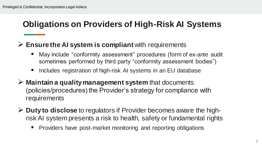# **Obligations on Providers of High-Risk AI Systems**

- **Ensure the AI system is compliant** with requirements
	- May include "conformity assessment" procedures (form of ex-ante audit sometimes performed by third party "conformity assessment bodies")
	- Includes registration of high-risk AI systems in an EU database
- **Maintain a quality management system** that documents (policies/procedures) the Provider's strategy for compliance with requirements
- **Duty to disclose** to regulators if Provider becomes aware the highrisk AI system presents a risk to health, safety or fundamental rights
	- **Providers have post-market monitoring and reporting obligations**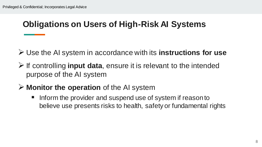# **Obligations on Users of High-Risk AI Systems**

- Use the AI system in accordance with its **instructions for use**
- $\triangleright$  If controlling **input data**, ensure it is relevant to the intended purpose of the AI system
- **Monitor the operation** of the AI system
	- Inform the provider and suspend use of system if reason to believe use presents risks to health, safety or fundamental rights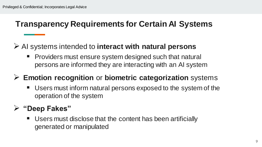# **Transparency Requirements for Certain AI Systems**

### AI systems intended to **interact with natural persons**

 Providers must ensure system designed such that natural persons are informed they are interacting with an AI system

### **Emotion recognition** or **biometric categorization** systems

 Users must inform natural persons exposed to the system of the operation of the system

### **"Deep Fakes"**

**Users must disclose that the content has been artificially** generated or manipulated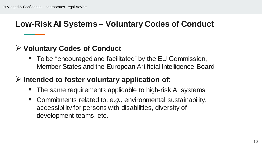## **Low-Risk AI Systems – Voluntary Codes of Conduct**

### **Voluntary Codes of Conduct**

■ To be "encouraged and facilitated" by the EU Commission, Member States and the European Artificial Intelligence Board

### **Intended to foster voluntary application of:**

- The same requirements applicable to high-risk AI systems
- **Commitments related to, e.g., environmental sustainability,** accessibility for persons with disabilities, diversity of development teams, etc.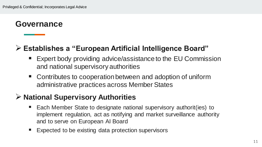### **Governance**

## **Establishes a "European Artificial Intelligence Board"**

- Expert body providing advice/assistance to the EU Commission and national supervisory authorities
- Contributes to cooperation between and adoption of uniform administrative practices across Member States

### **National Supervisory Authorities**

- Each Member State to designate national supervisory authorit(ies) to implement regulation, act as notifying and market surveillance authority and to serve on European AI Board
- Expected to be existing data protection supervisors